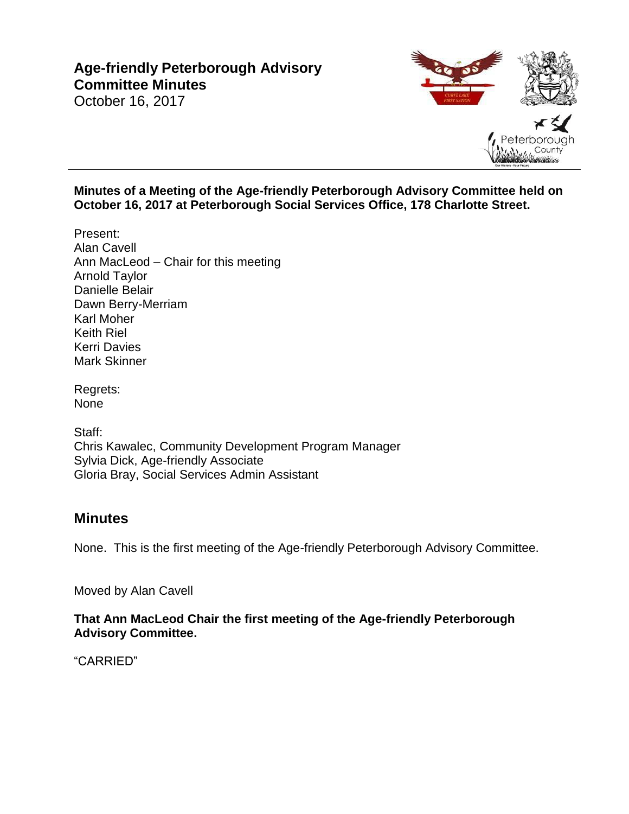# **Age-friendly Peterborough Advisory Committee Minutes**

# October 16, 2017

#### **Minutes of a Meeting of the Age-friendly Peterborough Advisory Committee held on October 16, 2017 at Peterborough Social Services Office, 178 Charlotte Street.**

- Present: Alan Cavell Ann MacLeod – Chair for this meeting Arnold Taylor Danielle Belair Dawn Berry-Merriam Karl Moher Keith Riel Kerri Davies Mark Skinner
- Regrets: None

Staff: Chris Kawalec, Community Development Program Manager Sylvia Dick, Age-friendly Associate Gloria Bray, Social Services Admin Assistant

### **Minutes**

None. This is the first meeting of the Age-friendly Peterborough Advisory Committee.

Moved by Alan Cavell

#### **That Ann MacLeod Chair the first meeting of the Age-friendly Peterborough Advisory Committee.**

"CARRIED"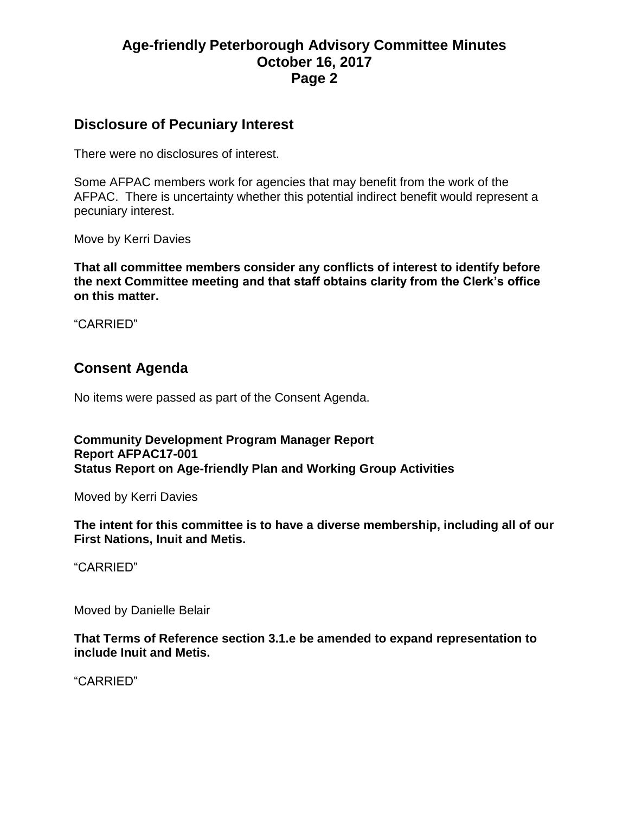# **Age-friendly Peterborough Advisory Committee Minutes October 16, 2017 Page 2**

### **Disclosure of Pecuniary Interest**

There were no disclosures of interest.

Some AFPAC members work for agencies that may benefit from the work of the AFPAC. There is uncertainty whether this potential indirect benefit would represent a pecuniary interest.

Move by Kerri Davies

**That all committee members consider any conflicts of interest to identify before the next Committee meeting and that staff obtains clarity from the Clerk's office on this matter.**

"CARRIED"

# **Consent Agenda**

No items were passed as part of the Consent Agenda.

**Community Development Program Manager Report Report AFPAC17-001 Status Report on Age-friendly Plan and Working Group Activities**

Moved by Kerri Davies

**The intent for this committee is to have a diverse membership, including all of our First Nations, Inuit and Metis.**

"CARRIED"

Moved by Danielle Belair

**That Terms of Reference section 3.1.e be amended to expand representation to include Inuit and Metis.**

"CARRIED"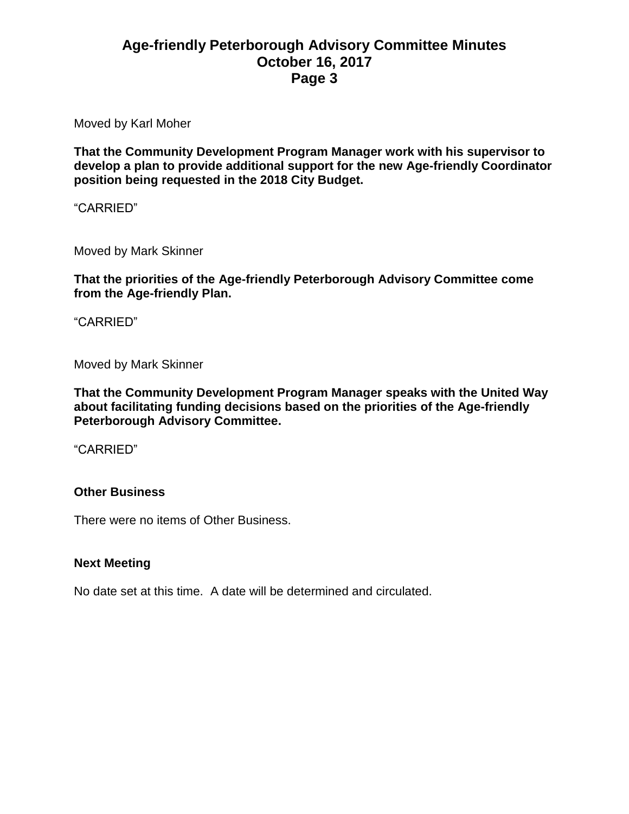# **Age-friendly Peterborough Advisory Committee Minutes October 16, 2017 Page 3**

Moved by Karl Moher

**That the Community Development Program Manager work with his supervisor to develop a plan to provide additional support for the new Age-friendly Coordinator position being requested in the 2018 City Budget.**

"CARRIED"

Moved by Mark Skinner

**That the priorities of the Age-friendly Peterborough Advisory Committee come from the Age-friendly Plan.**

"CARRIED"

Moved by Mark Skinner

**That the Community Development Program Manager speaks with the United Way about facilitating funding decisions based on the priorities of the Age-friendly Peterborough Advisory Committee.**

"CARRIED"

#### **Other Business**

There were no items of Other Business.

#### **Next Meeting**

No date set at this time. A date will be determined and circulated.